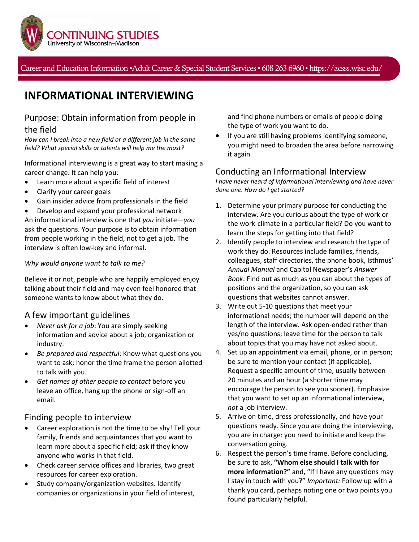

Career and Education Information •Adult Career & Special Student Services• 608-263-6960 • https://acsss.wisc.edu/

# **INFORMATIONAL INTERVIEWING**

# Purpose: Obtain information from people in the field

*How can I break into a new field or a different job in the same field? What special skills or talents will help me the most?*

Informational interviewing is a great way to start making a career change. It can help you:

- Learn more about a specific field of interest
- Clarify your career goals
- Gain insider advice from professionals in the field
- Develop and expand your professional network

An informational interview is one that *you* initiate—*you*  ask the questions. Your purpose is to obtain information from people working in the field, not to get a job. The interview is often low-key and informal.

#### *Why would anyone want to talk to me?*

Believe it or not, people who are happily employed enjoy talking about their field and may even feel honored that someone wants to know about what they do.

## A few important guidelines

- *Never ask for a job*: You are simply seeking information and advice about a job, organization or industry.
- *Be prepared and respectful*: Know what questions you want to ask; honor the time frame the person allotted to talk with you.
- *Get names of other people to contact* before you leave an office, hang up the phone or sign-off an email.

## Finding people to interview

- Career exploration is not the time to be shy! Tell your family, friends and acquaintances that you want to learn more about a specific field; ask if they know anyone who works in that field.
- Check career service offices and libraries, two great resources for career exploration.
- Study company/organization websites. Identify companies or organizations in your field of interest,

and find phone numbers or emails of people doing the type of work you want to do.

If you are still having problems identifying someone, you might need to broaden the area before narrowing it again.

## Conducting an Informational Interview

*I have never heard of informational interviewing and have never done one. How do I get started?*

- 1. Determine your primary purpose for conducting the interview. Are you curious about the type of work or the work-climate in a particular field? Do you want to learn the steps for getting into that field?
- 2. Identify people to interview and research the type of work they do. Resources include families, friends, colleagues, staff directories, the phone book, Isthmus' *Annual Manual* and Capitol Newspaper's *Answer Book*. Find out as much as you can about the types of positions and the organization, so you can ask questions that websites cannot answer.
- 3. Write out 5-10 questions that meet your informational needs; the number will depend on the length of the interview. Ask open-ended rather than yes/no questions; leave time for the person to talk about topics that you may have not asked about.
- 4. Set up an appointment via email, phone, or in person; be sure to mention your contact (if applicable). Request a specific amount of time, usually between 20 minutes and an hour (a shorter time may encourage the person to see you sooner). Emphasize that you want to set up an informational interview, *not* a job interview.
- 5. Arrive on time, dress professionally, and have your questions ready. Since you are doing the interviewing, you are in charge: you need to initiate and keep the conversation going.
- 6. Respect the person's time frame. Before concluding, be sure to ask, **"Whom else should I talk with for more information?"** and, "If I have any questions may I stay in touch with you?" *Important:* Follow up with a thank you card, perhaps noting one or two points you found particularly helpful.